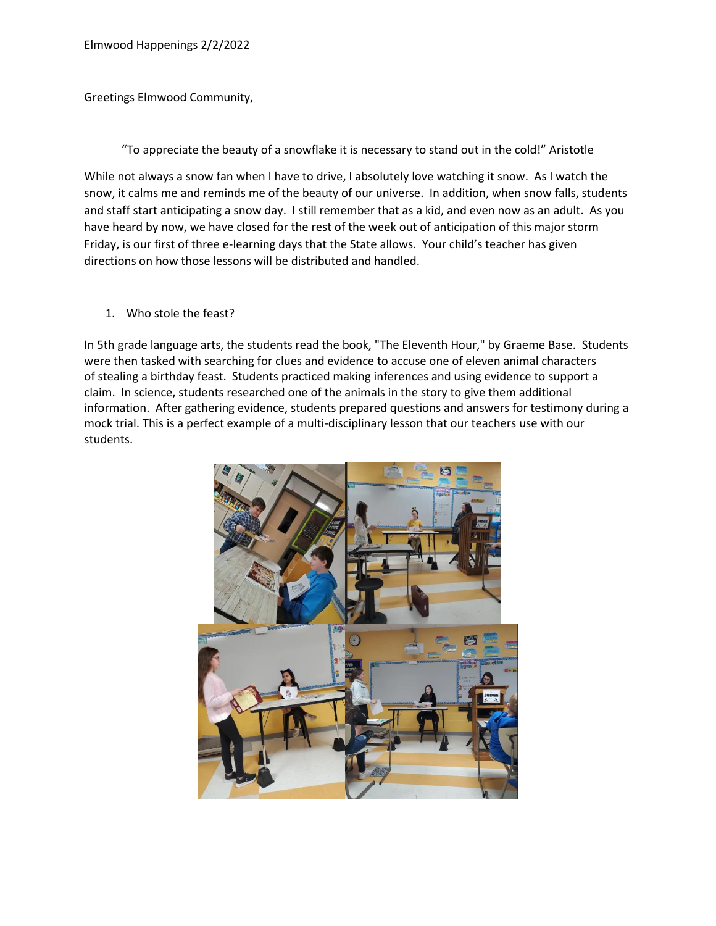Greetings Elmwood Community,

"To appreciate the beauty of a snowflake it is necessary to stand out in the cold!" Aristotle

While not always a snow fan when I have to drive, I absolutely love watching it snow. As I watch the snow, it calms me and reminds me of the beauty of our universe. In addition, when snow falls, students and staff start anticipating a snow day. I still remember that as a kid, and even now as an adult. As you have heard by now, we have closed for the rest of the week out of anticipation of this major storm Friday, is our first of three e-learning days that the State allows. Your child's teacher has given directions on how those lessons will be distributed and handled.

## 1. Who stole the feast?

In 5th grade language arts, the students read the book, "The Eleventh Hour," by Graeme Base. Students were then tasked with searching for clues and evidence to accuse one of eleven animal characters of stealing a birthday feast. Students practiced making inferences and using evidence to support a claim. In science, students researched one of the animals in the story to give them additional information. After gathering evidence, students prepared questions and answers for testimony during a mock trial. This is a perfect example of a multi-disciplinary lesson that our teachers use with our students.

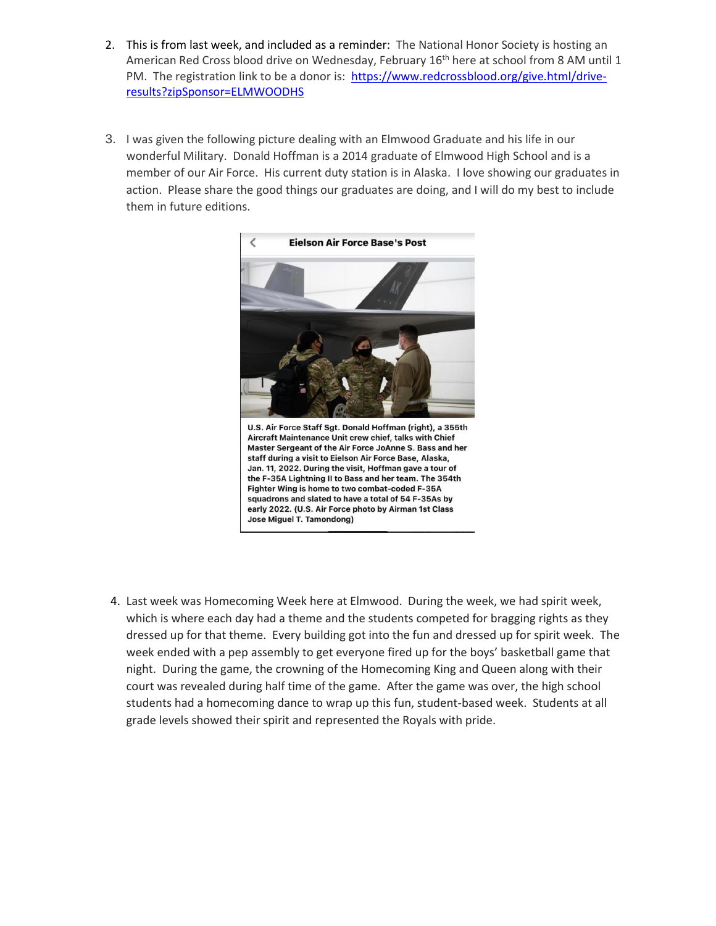- 2. This is from last week, and included as a reminder: The National Honor Society is hosting an American Red Cross blood drive on Wednesday, February 16<sup>th</sup> here at school from 8 AM until 1 PM. The registration link to be a donor is: [https://www.redcrossblood.org/give.html/drive](https://www.redcrossblood.org/give.html/drive-results?zipSponsor=ELMWOODHS)[results?zipSponsor=ELMWOODHS](https://www.redcrossblood.org/give.html/drive-results?zipSponsor=ELMWOODHS)
- 3. I was given the following picture dealing with an Elmwood Graduate and his life in our wonderful Military. Donald Hoffman is a 2014 graduate of Elmwood High School and is a member of our Air Force. His current duty station is in Alaska. I love showing our graduates in action. Please share the good things our graduates are doing, and I will do my best to include them in future editions.



4. Last week was Homecoming Week here at Elmwood. During the week, we had spirit week, which is where each day had a theme and the students competed for bragging rights as they dressed up for that theme. Every building got into the fun and dressed up for spirit week. The week ended with a pep assembly to get everyone fired up for the boys' basketball game that night. During the game, the crowning of the Homecoming King and Queen along with their court was revealed during half time of the game. After the game was over, the high school students had a homecoming dance to wrap up this fun, student-based week. Students at all grade levels showed their spirit and represented the Royals with pride.